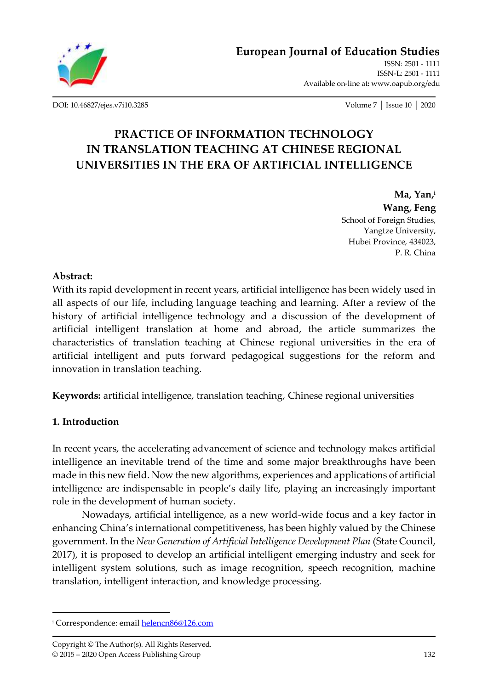

[DOI: 10.46827/ejes.v7i10.3285](http://dx.doi.org/10.46827/ejes.v7i10.3285) Volume 7 │ Issue 10 │ 2020

# **PRACTICE OF INFORMATION TECHNOLOGY IN TRANSLATION TEACHING AT CHINESE REGIONAL UNIVERSITIES IN THE ERA OF ARTIFICIAL INTELLIGENCE**

**Ma, Yan, i Wang, Feng** School of Foreign Studies, Yangtze University, Hubei Province, 434023, P. R. China

#### **Abstract:**

With its rapid development in recent years, artificial intelligence has been widely used in all aspects of our life, including language teaching and learning. After a review of the history of artificial intelligence technology and a discussion of the development of artificial intelligent translation at home and abroad, the article summarizes the characteristics of translation teaching at Chinese regional universities in the era of artificial intelligent and puts forward pedagogical suggestions for the reform and innovation in translation teaching.

**Keywords:** artificial intelligence, translation teaching, Chinese regional universities

### **1. Introduction**

In recent years, the accelerating advancement of science and technology makes artificial intelligence an inevitable trend of the time and some major breakthroughs have been made in this new field. Now the new algorithms, experiences and applications of artificial intelligence are indispensable in people's daily life, playing an increasingly important role in the development of human society.

Nowadays, artificial intelligence, as a new world-wide focus and a key factor in enhancing China's international competitiveness, has been highly valued by the Chinese government. In the *New Generation of Artificial Intelligence Development Plan* (State Council, 2017), it is proposed to develop an artificial intelligent emerging industry and seek for intelligent system solutions, such as image recognition, speech recognition, machine translation, intelligent interaction, and knowledge processing.

<sup>&</sup>lt;sup>i</sup> Correspondence: email **helencn86@126.com**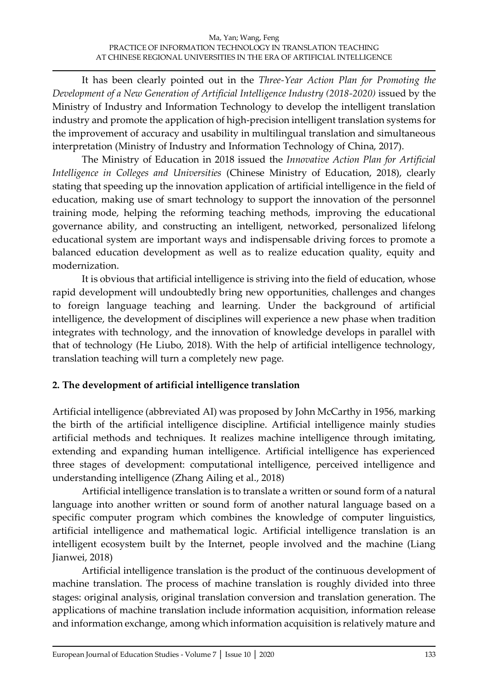It has been clearly pointed out in the *Three-Year Action Plan for Promoting the Development of a New Generation of Artificial Intelligence Industry (2018-2020)* issued by the Ministry of Industry and Information Technology to develop the intelligent translation industry and promote the application of high-precision intelligent translation systems for the improvement of accuracy and usability in multilingual translation and simultaneous interpretation (Ministry of Industry and Information Technology of China, 2017).

The Ministry of Education in 2018 issued the *Innovative Action Plan for Artificial Intelligence in Colleges and Universities* (Chinese Ministry of Education, 2018), clearly stating that speeding up the innovation application of artificial intelligence in the field of education, making use of smart technology to support the innovation of the personnel training mode, helping the reforming teaching methods, improving the educational governance ability, and constructing an intelligent, networked, personalized lifelong educational system are important ways and indispensable driving forces to promote a balanced education development as well as to realize education quality, equity and modernization.

It is obvious that artificial intelligence is striving into the field of education, whose rapid development will undoubtedly bring new opportunities, challenges and changes to foreign language teaching and learning. Under the background of artificial intelligence, the development of disciplines will experience a new phase when tradition integrates with technology, and the innovation of knowledge develops in parallel with that of technology (He Liubo, 2018). With the help of artificial intelligence technology, translation teaching will turn a completely new page.

# **2. The development of artificial intelligence translation**

Artificial intelligence (abbreviated AI) was proposed by John McCarthy in 1956, marking the birth of the artificial intelligence discipline. Artificial intelligence mainly studies artificial methods and techniques. It realizes machine intelligence through imitating, extending and expanding human intelligence. Artificial intelligence has experienced three stages of development: computational intelligence, perceived intelligence and understanding intelligence (Zhang Ailing et al., 2018)

Artificial intelligence translation is to translate a written or sound form of a natural language into another written or sound form of another natural language based on a specific computer program which combines the knowledge of computer linguistics, artificial intelligence and mathematical logic. Artificial intelligence translation is an intelligent ecosystem built by the Internet, people involved and the machine (Liang Jianwei, 2018)

Artificial intelligence translation is the product of the continuous development of machine translation. The process of machine translation is roughly divided into three stages: original analysis, original translation conversion and translation generation. The applications of machine translation include information acquisition, information release and information exchange, among which information acquisition is relatively mature and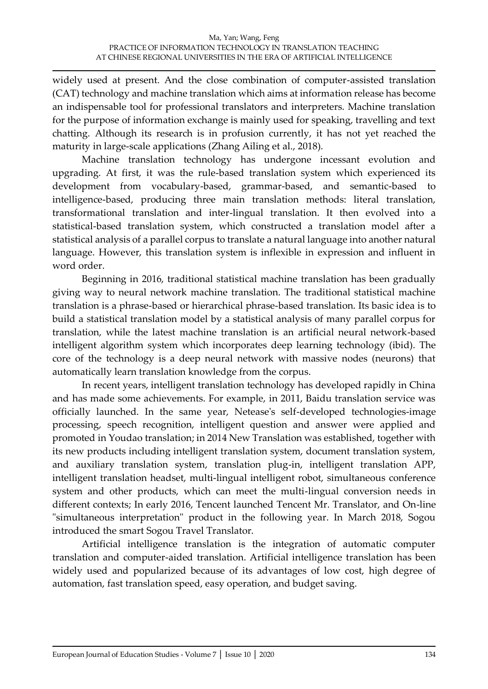widely used at present. And the close combination of computer-assisted translation (CAT) technology and machine translation which aims at information release has become an indispensable tool for professional translators and interpreters. Machine translation for the purpose of information exchange is mainly used for speaking, travelling and text chatting. Although its research is in profusion currently, it has not yet reached the maturity in large-scale applications (Zhang Ailing et al., 2018).

Machine translation technology has undergone incessant evolution and upgrading. At first, it was the rule-based translation system which experienced its development from vocabulary-based, grammar-based, and semantic-based to intelligence-based, producing three main translation methods: literal translation, transformational translation and inter-lingual translation. It then evolved into a statistical-based translation system, which constructed a translation model after a statistical analysis of a parallel corpus to translate a natural language into another natural language. However, this translation system is inflexible in expression and influent in word order.

Beginning in 2016, traditional statistical machine translation has been gradually giving way to neural network machine translation. The traditional statistical machine translation is a phrase-based or hierarchical phrase-based translation. Its basic idea is to build a statistical translation model by a statistical analysis of many parallel corpus for translation, while the latest machine translation is an artificial neural network-based intelligent algorithm system which incorporates deep learning technology (ibid). The core of the technology is a deep neural network with massive nodes (neurons) that automatically learn translation knowledge from the corpus.

In recent years, intelligent translation technology has developed rapidly in China and has made some achievements. For example, in 2011, Baidu translation service was officially launched. In the same year, Netease's self-developed technologies-image processing, speech recognition, intelligent question and answer were applied and promoted in Youdao translation; in 2014 New Translation was established, together with its new products including intelligent translation system, document translation system, and auxiliary translation system, translation plug-in, intelligent translation APP, intelligent translation headset, multi-lingual intelligent robot, simultaneous conference system and other products, which can meet the multi-lingual conversion needs in different contexts; In early 2016, Tencent launched Tencent Mr. Translator, and On-line "simultaneous interpretation" product in the following year. In March 2018, Sogou introduced the smart Sogou Travel Translator.

Artificial intelligence translation is the integration of automatic computer translation and computer-aided translation. Artificial intelligence translation has been widely used and popularized because of its advantages of low cost, high degree of automation, fast translation speed, easy operation, and budget saving.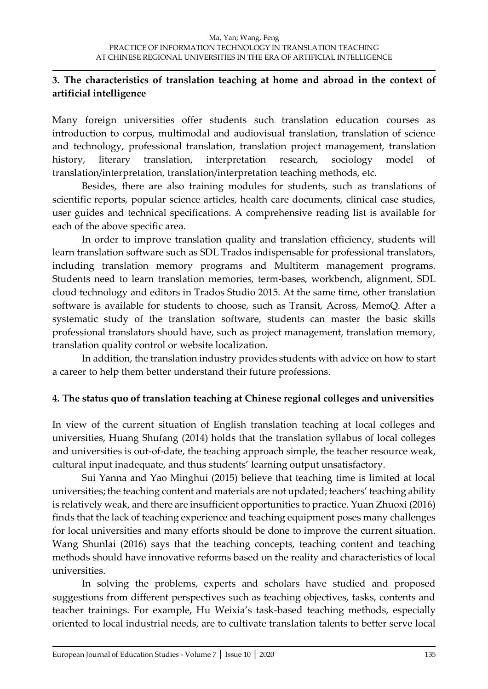## **3. The characteristics of translation teaching at home and abroad in the context of artificial intelligence**

Many foreign universities offer students such translation education courses as introduction to corpus, multimodal and audiovisual translation, translation of science and technology, professional translation, translation project management, translation history, literary translation, interpretation research, sociology model of translation/interpretation, translation/interpretation teaching methods, etc.

Besides, there are also training modules for students, such as translations of scientific reports, popular science articles, health care documents, clinical case studies, user guides and technical specifications. A comprehensive reading list is available for each of the above specific area.

In order to improve translation quality and translation efficiency, students will learn translation software such as SDL Trados indispensable for professional translators, including translation memory programs and Multiterm management programs. Students need to learn translation memories, term-bases, workbench, alignment, SDL cloud technology and editors in Trados Studio 2015. At the same time, other translation software is available for students to choose, such as Transit, Across, MemoQ. After a systematic study of the translation software, students can master the basic skills professional translators should have, such as project management, translation memory, translation quality control or website localization.

In addition, the translation industry provides students with advice on how to start a career to help them better understand their future professions.

### **4. The status quo of translation teaching at Chinese regional colleges and universities**

In view of the current situation of English translation teaching at local colleges and universities, Huang Shufang (2014) holds that the translation syllabus of local colleges and universities is out-of-date, the teaching approach simple, the teacher resource weak, cultural input inadequate, and thus students' learning output unsatisfactory.

Sui Yanna and Yao Minghui (2015) believe that teaching time is limited at local universities; the teaching content and materials are not updated; teachers' teaching ability is relatively weak, and there are insufficient opportunities to practice. Yuan Zhuoxi (2016) finds that the lack of teaching experience and teaching equipment poses many challenges for local universities and many efforts should be done to improve the current situation. Wang Shunlai (2016) says that the teaching concepts, teaching content and teaching methods should have innovative reforms based on the reality and characteristics of local universities.

In solving the problems, experts and scholars have studied and proposed suggestions from different perspectives such as teaching objectives, tasks, contents and teacher trainings. For example, Hu Weixia's task-based teaching methods, especially oriented to local industrial needs, are to cultivate translation talents to better serve local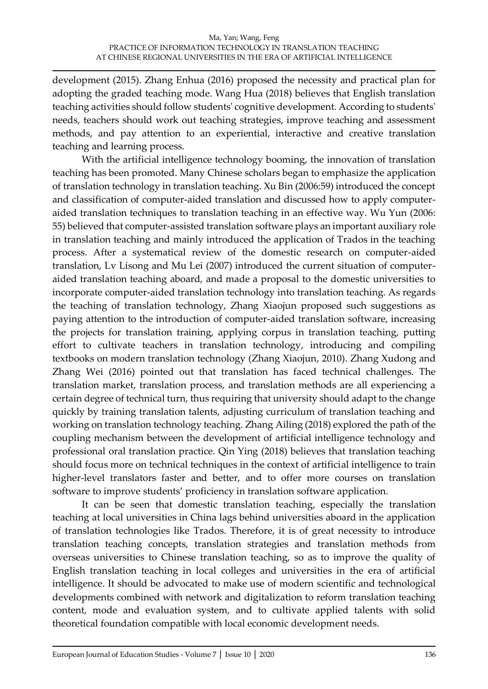development (2015). Zhang Enhua (2016) proposed the necessity and practical plan for adopting the graded teaching mode. Wang Hua (2018) believes that English translation teaching activities should follow students' cognitive development. According to students' needs, teachers should work out teaching strategies, improve teaching and assessment methods, and pay attention to an experiential, interactive and creative translation teaching and learning process.

With the artificial intelligence technology booming, the innovation of translation teaching has been promoted. Many Chinese scholars began to emphasize the application of translation technology in translation teaching. Xu Bin (2006:59) introduced the concept and classification of computer-aided translation and discussed how to apply computeraided translation techniques to translation teaching in an effective way. Wu Yun (2006: 55) believed that computer-assisted translation software plays an important auxiliary role in translation teaching and mainly introduced the application of Trados in the teaching process. After a systematical review of the domestic research on computer-aided translation, Lv Lisong and Mu Lei (2007) introduced the current situation of computeraided translation teaching aboard, and made a proposal to the domestic universities to incorporate computer-aided translation technology into translation teaching. As regards the teaching of translation technology, Zhang Xiaojun proposed such suggestions as paying attention to the introduction of computer-aided translation software, increasing the projects for translation training, applying corpus in translation teaching, putting effort to cultivate teachers in translation technology, introducing and compiling textbooks on modern translation technology (Zhang Xiaojun, 2010). Zhang Xudong and Zhang Wei (2016) pointed out that translation has faced technical challenges. The translation market, translation process, and translation methods are all experiencing a certain degree of technical turn, thus requiring that university should adapt to the change quickly by training translation talents, adjusting curriculum of translation teaching and working on translation technology teaching. Zhang Ailing (2018) explored the path of the coupling mechanism between the development of artificial intelligence technology and professional oral translation practice. Qin Ying (2018) believes that translation teaching should focus more on technical techniques in the context of artificial intelligence to train higher-level translators faster and better, and to offer more courses on translation software to improve students' proficiency in translation software application.

It can be seen that domestic translation teaching, especially the translation teaching at local universities in China lags behind universities aboard in the application of translation technologies like Trados. Therefore, it is of great necessity to introduce translation teaching concepts, translation strategies and translation methods from overseas universities to Chinese translation teaching, so as to improve the quality of English translation teaching in local colleges and universities in the era of artificial intelligence. It should be advocated to make use of modern scientific and technological developments combined with network and digitalization to reform translation teaching content, mode and evaluation system, and to cultivate applied talents with solid theoretical foundation compatible with local economic development needs.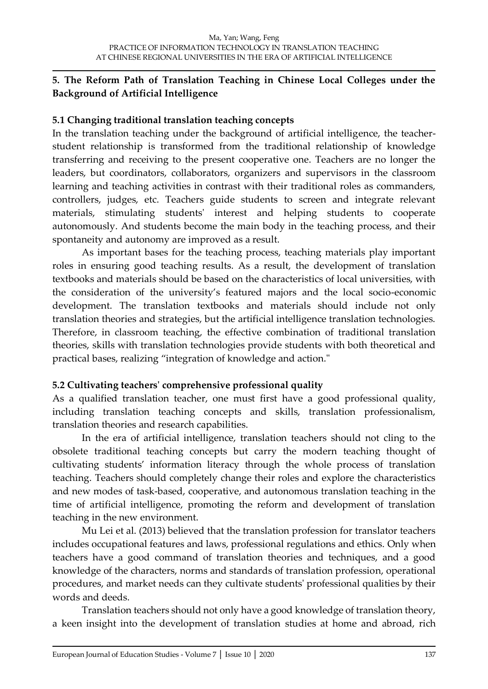## **5. The Reform Path of Translation Teaching in Chinese Local Colleges under the Background of Artificial Intelligence**

## **5.1 Changing traditional translation teaching concepts**

In the translation teaching under the background of artificial intelligence, the teacherstudent relationship is transformed from the traditional relationship of knowledge transferring and receiving to the present cooperative one. Teachers are no longer the leaders, but coordinators, collaborators, organizers and supervisors in the classroom learning and teaching activities in contrast with their traditional roles as commanders, controllers, judges, etc. Teachers guide students to screen and integrate relevant materials, stimulating students' interest and helping students to cooperate autonomously. And students become the main body in the teaching process, and their spontaneity and autonomy are improved as a result.

As important bases for the teaching process, teaching materials play important roles in ensuring good teaching results. As a result, the development of translation textbooks and materials should be based on the characteristics of local universities, with the consideration of the university's featured majors and the local socio-economic development. The translation textbooks and materials should include not only translation theories and strategies, but the artificial intelligence translation technologies. Therefore, in classroom teaching, the effective combination of traditional translation theories, skills with translation technologies provide students with both theoretical and practical bases, realizing "integration of knowledge and action."

# **5.2 Cultivating teachers' comprehensive professional quality**

As a qualified translation teacher, one must first have a good professional quality, including translation teaching concepts and skills, translation professionalism, translation theories and research capabilities.

In the era of artificial intelligence, translation teachers should not cling to the obsolete traditional teaching concepts but carry the modern teaching thought of cultivating students' information literacy through the whole process of translation teaching. Teachers should completely change their roles and explore the characteristics and new modes of task-based, cooperative, and autonomous translation teaching in the time of artificial intelligence, promoting the reform and development of translation teaching in the new environment.

Mu Lei et al. (2013) believed that the translation profession for translator teachers includes occupational features and laws, professional regulations and ethics. Only when teachers have a good command of translation theories and techniques, and a good knowledge of the characters, norms and standards of translation profession, operational procedures, and market needs can they cultivate students' professional qualities by their words and deeds.

Translation teachers should not only have a good knowledge of translation theory, a keen insight into the development of translation studies at home and abroad, rich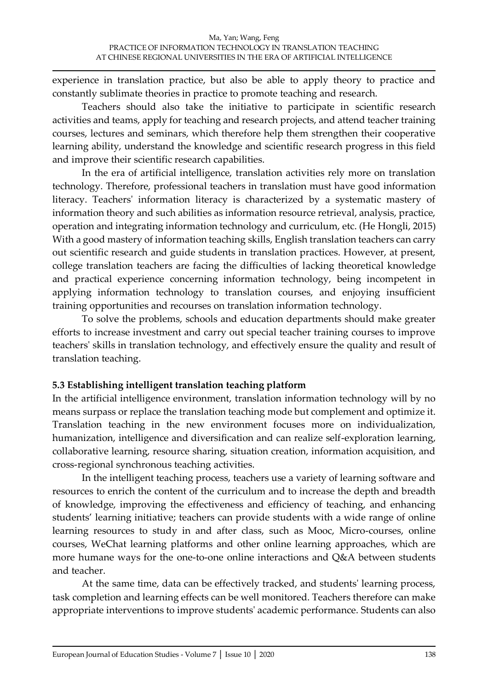experience in translation practice, but also be able to apply theory to practice and constantly sublimate theories in practice to promote teaching and research.

Teachers should also take the initiative to participate in scientific research activities and teams, apply for teaching and research projects, and attend teacher training courses, lectures and seminars, which therefore help them strengthen their cooperative learning ability, understand the knowledge and scientific research progress in this field and improve their scientific research capabilities.

In the era of artificial intelligence, translation activities rely more on translation technology. Therefore, professional teachers in translation must have good information literacy. Teachers' information literacy is characterized by a systematic mastery of information theory and such abilities as information resource retrieval, analysis, practice, operation and integrating information technology and curriculum, etc. (He Hongli, 2015) With a good mastery of information teaching skills, English translation teachers can carry out scientific research and guide students in translation practices. However, at present, college translation teachers are facing the difficulties of lacking theoretical knowledge and practical experience concerning information technology, being incompetent in applying information technology to translation courses, and enjoying insufficient training opportunities and recourses on translation information technology.

To solve the problems, schools and education departments should make greater efforts to increase investment and carry out special teacher training courses to improve teachers' skills in translation technology, and effectively ensure the quality and result of translation teaching.

# **5.3 Establishing intelligent translation teaching platform**

In the artificial intelligence environment, translation information technology will by no means surpass or replace the translation teaching mode but complement and optimize it. Translation teaching in the new environment focuses more on individualization, humanization, intelligence and diversification and can realize self-exploration learning, collaborative learning, resource sharing, situation creation, information acquisition, and cross-regional synchronous teaching activities.

In the intelligent teaching process, teachers use a variety of learning software and resources to enrich the content of the curriculum and to increase the depth and breadth of knowledge, improving the effectiveness and efficiency of teaching, and enhancing students' learning initiative; teachers can provide students with a wide range of online learning resources to study in and after class, such as Mooc, Micro-courses, online courses, WeChat learning platforms and other online learning approaches, which are more humane ways for the one-to-one online interactions and Q&A between students and teacher.

At the same time, data can be effectively tracked, and students' learning process, task completion and learning effects can be well monitored. Teachers therefore can make appropriate interventions to improve students' academic performance. Students can also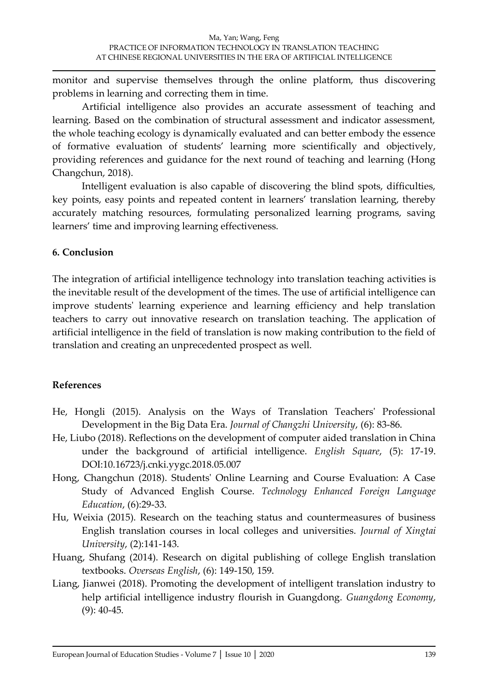monitor and supervise themselves through the online platform, thus discovering problems in learning and correcting them in time.

Artificial intelligence also provides an accurate assessment of teaching and learning. Based on the combination of structural assessment and indicator assessment, the whole teaching ecology is dynamically evaluated and can better embody the essence of formative evaluation of students' learning more scientifically and objectively, providing references and guidance for the next round of teaching and learning (Hong Changchun, 2018).

Intelligent evaluation is also capable of discovering the blind spots, difficulties, key points, easy points and repeated content in learners' translation learning, thereby accurately matching resources, formulating personalized learning programs, saving learners' time and improving learning effectiveness.

### **6. Conclusion**

The integration of artificial intelligence technology into translation teaching activities is the inevitable result of the development of the times. The use of artificial intelligence can improve students' learning experience and learning efficiency and help translation teachers to carry out innovative research on translation teaching. The application of artificial intelligence in the field of translation is now making contribution to the field of translation and creating an unprecedented prospect as well.

# **References**

- He, Hongli (2015). Analysis on the Ways of Translation Teachers' Professional Development in the Big Data Era. *Journal of Changzhi University*, (6): 83-86.
- He, Liubo (2018). Reflections on the development of computer aided translation in China under the background of artificial intelligence. *English Square*, (5): 17-19. DOI:10.16723/j.cnki.yygc.2018.05.007
- Hong, Changchun (2018). Students' Online Learning and Course Evaluation: A Case Study of Advanced English Course. *Technology Enhanced Foreign Language Education*, (6):29-33.
- Hu, Weixia (2015). Research on the teaching status and countermeasures of business English translation courses in local colleges and universities. *Journal of Xingtai University*, (2):141-143.
- Huang, Shufang (2014). Research on digital publishing of college English translation textbooks. *Overseas English*, (6): 149-150, 159.
- Liang, Jianwei (2018). Promoting the development of intelligent translation industry to help artificial intelligence industry flourish in Guangdong. *Guangdong Economy*, (9): 40-45.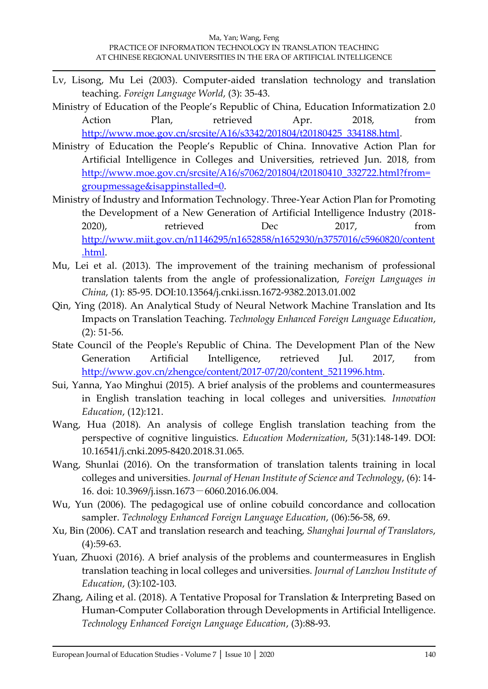- Lv, Lisong, Mu Lei (2003). Computer-aided translation technology and translation teaching. *Foreign Language World*, (3): 35-43.
- Ministry of Education of the People's Republic of China, Education Informatization 2.0 Action Plan, retrieved Apr. 2018, from [http://www.moe.gov.cn/srcsite/A16/s3342/201804/t20180425\\_334188.html.](http://www.moe.gov.cn/srcsite/A16/s3342/201804/t20180425_334188.html)
- Ministry of Education the People's Republic of China. Innovative Action Plan for Artificial Intelligence in Colleges and Universities, retrieved Jun. 2018, from [http://www.moe.gov.cn/srcsite/A16/s7062/201804/t20180410\\_332722.html?from=](http://www.moe.gov.cn/srcsite/A16/s7062/201804/t20180410_332722.html?from=groupmessage&isappinstalled=0) [groupmessage&isappinstalled=0.](http://www.moe.gov.cn/srcsite/A16/s7062/201804/t20180410_332722.html?from=groupmessage&isappinstalled=0)
- Ministry of Industry and Information Technology. Three-Year Action Plan for Promoting the Development of a New Generation of Artificial Intelligence Industry (2018- 2020), retrieved Dec 2017, from [http://www.miit.gov.cn/n1146295/n1652858/n1652930/n3757016/c5960820/content](http://www.miit.gov.cn/n1146295/n1652858/n1652930/n3757016/c5960820/content.html) [.html.](http://www.miit.gov.cn/n1146295/n1652858/n1652930/n3757016/c5960820/content.html)
- Mu, Lei et al. (2013). The improvement of the training mechanism of professional translation talents from the angle of professionalization, *Foreign Languages in China*, (1): 85-95. DOI:10.13564/j.cnki.issn.1672-9382.2013.01.002
- Qin, Ying (2018). An Analytical Study of Neural Network Machine Translation and Its Impacts on Translation Teaching. *Technology Enhanced Foreign Language Education*, (2): 51-56.
- State Council of the People's Republic of China. The Development Plan of the New Generation Artificial Intelligence, retrieved Jul. 2017, from [http://www.gov.cn/zhengce/content/2017-07/20/content\\_5211996.htm.](http://www.gov.cn/zhengce/content/2017-07/20/content_5211996.htm)
- Sui, Yanna, Yao Minghui (2015). A brief analysis of the problems and countermeasures in English translation teaching in local colleges and universities. *Innovation Education*, (12):121.
- Wang, Hua (2018). An analysis of college English translation teaching from the perspective of cognitive linguistics. *Education Modernization*, 5(31):148-149. DOI: 10.16541/j.cnki.2095-8420.2018.31.065.
- Wang, Shunlai (2016). On the transformation of translation talents training in local colleges and universities. *Journal of Henan Institute of Science and Technology*, (6): 14- 16. doi: 10.3969/j.issn.1673-6060.2016.06.004.
- Wu, Yun (2006). The pedagogical use of online cobuild concordance and collocation sampler. *Technology Enhanced Foreign Language Education*, (06):56-58, 69.
- Xu, Bin (2006). CAT and translation research and teaching, *Shanghai Journal of Translators*, (4):59-63.
- Yuan, Zhuoxi (2016). A brief analysis of the problems and countermeasures in English translation teaching in local colleges and universities. *Journal of Lanzhou Institute of Education*, (3):102-103.
- Zhang, Ailing et al. (2018). A Tentative Proposal for Translation & Interpreting Based on Human-Computer Collaboration through Developments in Artificial Intelligence. *Technology Enhanced Foreign Language Education*, (3):88-93.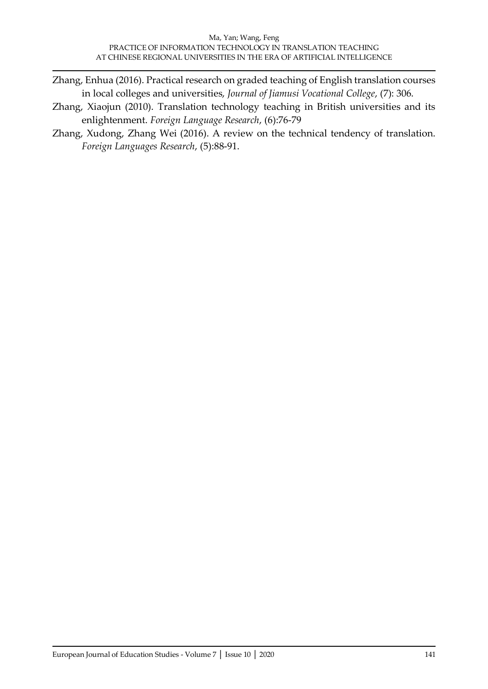- Zhang, Enhua (2016). Practical research on graded teaching of English translation courses in local colleges and universities, *Journal of Jiamusi Vocational College*, (7): 306.
- Zhang, Xiaojun (2010). Translation technology teaching in British universities and its enlightenment. *Foreign Language Research*, (6):76-79
- Zhang, Xudong, Zhang Wei (2016). A review on the technical tendency of translation. *Foreign Languages Research*, (5):88-91.